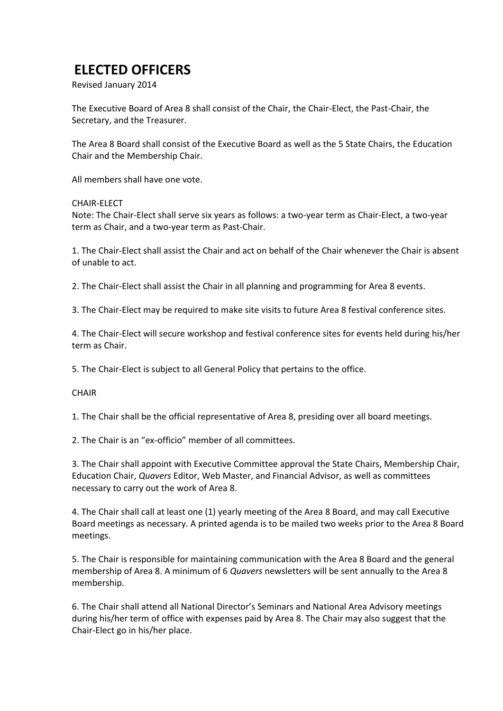# **ELECTED OFFICERS**

Revised January 2014

The Executive Board of Area 8 shall consist of the Chair, the Chair-Elect, the Past-Chair, the Secretary, and the Treasurer.

The Area 8 Board shall consist of the Executive Board as well as the 5 State Chairs, the Education Chair and the Membership Chair.

All members shall have one vote.

#### CHAIR-ELECT

Note: The Chair-Elect shall serve six years as follows: a two-year term as Chair-Elect, a two-year term as Chair, and a two-year term as Past-Chair.

1. The Chair-Elect shall assist the Chair and act on behalf of the Chair whenever the Chair is absent of unable to act.

2. The Chair-Elect shall assist the Chair in all planning and programming for Area 8 events.

3. The Chair-Elect may be required to make site visits to future Area 8 festival conference sites.

4. The Chair-Elect will secure workshop and festival conference sites for events held during his/her term as Chair.

5. The Chair-Elect is subject to all General Policy that pertains to the office.

#### **CHAIR**

1. The Chair shall be the official representative of Area 8, presiding over all board meetings.

2. The Chair is an "ex-officio" member of all committees.

3. The Chair shall appoint with Executive Committee approval the State Chairs, Membership Chair, Education Chair, *Quavers* Editor, Web Master, and Financial Advisor, as well as committees necessary to carry out the work of Area 8.

4. The Chair shall call at least one (1) yearly meeting of the Area 8 Board, and may call Executive Board meetings as necessary. A printed agenda is to be mailed two weeks prior to the Area 8 Board meetings.

5. The Chair is responsible for maintaining communication with the Area 8 Board and the general membership of Area 8. A minimum of 6 *Quavers* newsletters will be sent annually to the Area 8 membership.

6. The Chair shall attend all National Director's Seminars and National Area Advisory meetings during his/her term of office with expenses paid by Area 8. The Chair may also suggest that the Chair-Elect go in his/her place.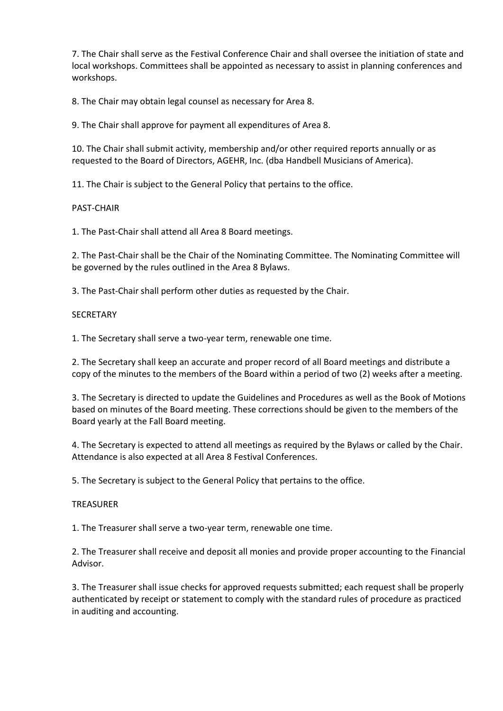7. The Chair shall serve as the Festival Conference Chair and shall oversee the initiation of state and local workshops. Committees shall be appointed as necessary to assist in planning conferences and workshops.

8. The Chair may obtain legal counsel as necessary for Area 8.

9. The Chair shall approve for payment all expenditures of Area 8.

10. The Chair shall submit activity, membership and/or other required reports annually or as requested to the Board of Directors, AGEHR, Inc. (dba Handbell Musicians of America).

11. The Chair is subject to the General Policy that pertains to the office.

# PAST-CHAIR

1. The Past-Chair shall attend all Area 8 Board meetings.

2. The Past-Chair shall be the Chair of the Nominating Committee. The Nominating Committee will be governed by the rules outlined in the Area 8 Bylaws.

3. The Past-Chair shall perform other duties as requested by the Chair.

# **SECRETARY**

1. The Secretary shall serve a two-year term, renewable one time.

2. The Secretary shall keep an accurate and proper record of all Board meetings and distribute a copy of the minutes to the members of the Board within a period of two (2) weeks after a meeting.

3. The Secretary is directed to update the Guidelines and Procedures as well as the Book of Motions based on minutes of the Board meeting. These corrections should be given to the members of the Board yearly at the Fall Board meeting.

4. The Secretary is expected to attend all meetings as required by the Bylaws or called by the Chair. Attendance is also expected at all Area 8 Festival Conferences.

5. The Secretary is subject to the General Policy that pertains to the office.

# TREASURER

1. The Treasurer shall serve a two-year term, renewable one time.

2. The Treasurer shall receive and deposit all monies and provide proper accounting to the Financial Advisor.

3. The Treasurer shall issue checks for approved requests submitted; each request shall be properly authenticated by receipt or statement to comply with the standard rules of procedure as practiced in auditing and accounting.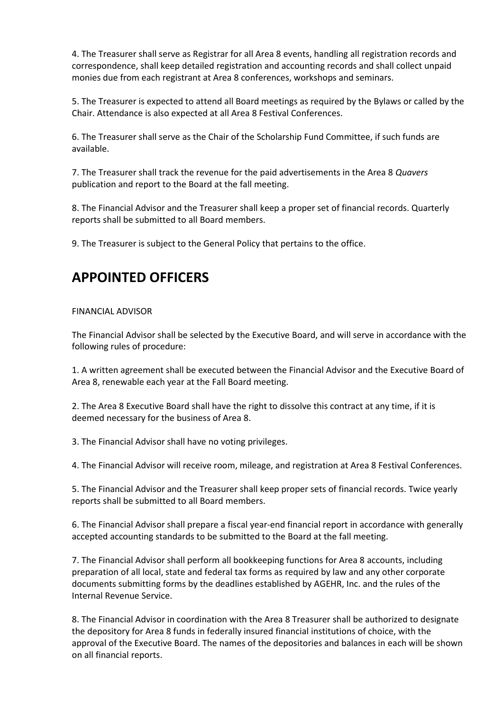4. The Treasurer shall serve as Registrar for all Area 8 events, handling all registration records and correspondence, shall keep detailed registration and accounting records and shall collect unpaid monies due from each registrant at Area 8 conferences, workshops and seminars.

5. The Treasurer is expected to attend all Board meetings as required by the Bylaws or called by the Chair. Attendance is also expected at all Area 8 Festival Conferences.

6. The Treasurer shall serve as the Chair of the Scholarship Fund Committee, if such funds are available.

7. The Treasurer shall track the revenue for the paid advertisements in the Area 8 *Quavers*  publication and report to the Board at the fall meeting.

8. The Financial Advisor and the Treasurer shall keep a proper set of financial records. Quarterly reports shall be submitted to all Board members.

9. The Treasurer is subject to the General Policy that pertains to the office.

# **APPOINTED OFFICERS**

# FINANCIAL ADVISOR

The Financial Advisor shall be selected by the Executive Board, and will serve in accordance with the following rules of procedure:

1. A written agreement shall be executed between the Financial Advisor and the Executive Board of Area 8, renewable each year at the Fall Board meeting.

2. The Area 8 Executive Board shall have the right to dissolve this contract at any time, if it is deemed necessary for the business of Area 8.

3. The Financial Advisor shall have no voting privileges.

4. The Financial Advisor will receive room, mileage, and registration at Area 8 Festival Conferences.

5. The Financial Advisor and the Treasurer shall keep proper sets of financial records. Twice yearly reports shall be submitted to all Board members.

6. The Financial Advisor shall prepare a fiscal year-end financial report in accordance with generally accepted accounting standards to be submitted to the Board at the fall meeting.

7. The Financial Advisor shall perform all bookkeeping functions for Area 8 accounts, including preparation of all local, state and federal tax forms as required by law and any other corporate documents submitting forms by the deadlines established by AGEHR, Inc. and the rules of the Internal Revenue Service.

8. The Financial Advisor in coordination with the Area 8 Treasurer shall be authorized to designate the depository for Area 8 funds in federally insured financial institutions of choice, with the approval of the Executive Board. The names of the depositories and balances in each will be shown on all financial reports.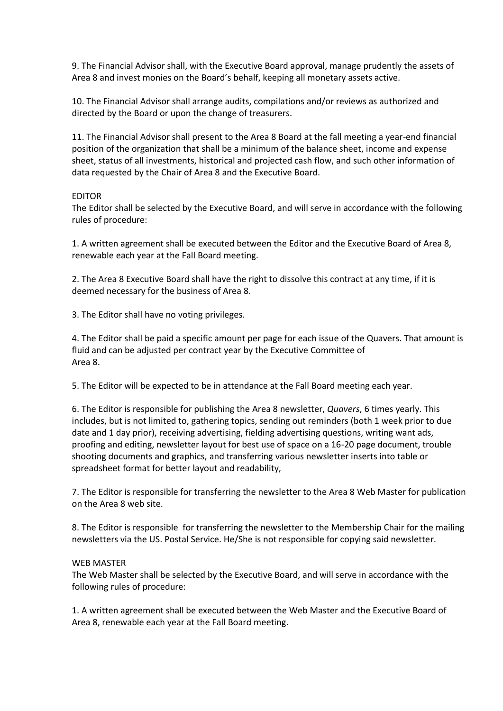9. The Financial Advisor shall, with the Executive Board approval, manage prudently the assets of Area 8 and invest monies on the Board's behalf, keeping all monetary assets active.

10. The Financial Advisor shall arrange audits, compilations and/or reviews as authorized and directed by the Board or upon the change of treasurers.

11. The Financial Advisor shall present to the Area 8 Board at the fall meeting a year-end financial position of the organization that shall be a minimum of the balance sheet, income and expense sheet, status of all investments, historical and projected cash flow, and such other information of data requested by the Chair of Area 8 and the Executive Board.

#### EDITOR

The Editor shall be selected by the Executive Board, and will serve in accordance with the following rules of procedure:

1. A written agreement shall be executed between the Editor and the Executive Board of Area 8, renewable each year at the Fall Board meeting.

2. The Area 8 Executive Board shall have the right to dissolve this contract at any time, if it is deemed necessary for the business of Area 8.

3. The Editor shall have no voting privileges.

4. The Editor shall be paid a specific amount per page for each issue of the Quavers. That amount is fluid and can be adjusted per contract year by the Executive Committee of Area 8.

5. The Editor will be expected to be in attendance at the Fall Board meeting each year.

6. The Editor is responsible for publishing the Area 8 newsletter, *Quavers*, 6 times yearly. This includes, but is not limited to, gathering topics, sending out reminders (both 1 week prior to due date and 1 day prior), receiving advertising, fielding advertising questions, writing want ads, proofing and editing, newsletter layout for best use of space on a 16-20 page document, trouble shooting documents and graphics, and transferring various newsletter inserts into table or spreadsheet format for better layout and readability,

7. The Editor is responsible for transferring the newsletter to the Area 8 Web Master for publication on the Area 8 web site.

8. The Editor is responsible for transferring the newsletter to the Membership Chair for the mailing newsletters via the US. Postal Service. He/She is not responsible for copying said newsletter.

# WEB MASTER

The Web Master shall be selected by the Executive Board, and will serve in accordance with the following rules of procedure:

1. A written agreement shall be executed between the Web Master and the Executive Board of Area 8, renewable each year at the Fall Board meeting.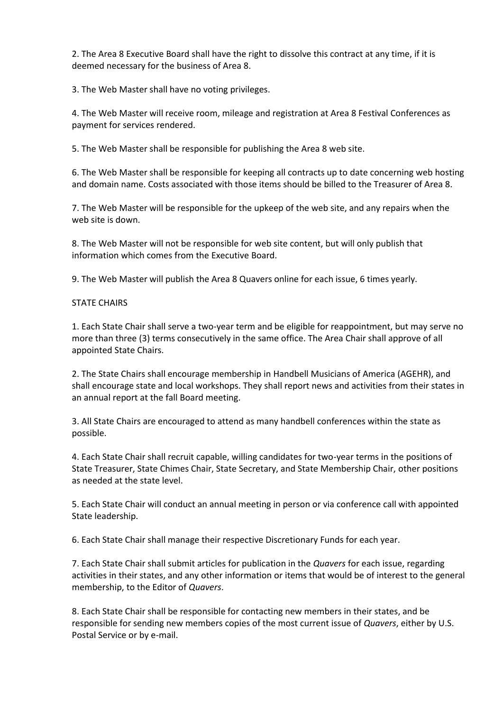2. The Area 8 Executive Board shall have the right to dissolve this contract at any time, if it is deemed necessary for the business of Area 8.

3. The Web Master shall have no voting privileges.

4. The Web Master will receive room, mileage and registration at Area 8 Festival Conferences as payment for services rendered.

5. The Web Master shall be responsible for publishing the Area 8 web site.

6. The Web Master shall be responsible for keeping all contracts up to date concerning web hosting and domain name. Costs associated with those items should be billed to the Treasurer of Area 8.

7. The Web Master will be responsible for the upkeep of the web site, and any repairs when the web site is down.

8. The Web Master will not be responsible for web site content, but will only publish that information which comes from the Executive Board.

9. The Web Master will publish the Area 8 Quavers online for each issue, 6 times yearly.

# STATE CHAIRS

1. Each State Chair shall serve a two-year term and be eligible for reappointment, but may serve no more than three (3) terms consecutively in the same office. The Area Chair shall approve of all appointed State Chairs.

2. The State Chairs shall encourage membership in Handbell Musicians of America (AGEHR), and shall encourage state and local workshops. They shall report news and activities from their states in an annual report at the fall Board meeting.

3. All State Chairs are encouraged to attend as many handbell conferences within the state as possible.

4. Each State Chair shall recruit capable, willing candidates for two-year terms in the positions of State Treasurer, State Chimes Chair, State Secretary, and State Membership Chair, other positions as needed at the state level.

5. Each State Chair will conduct an annual meeting in person or via conference call with appointed State leadership.

6. Each State Chair shall manage their respective Discretionary Funds for each year.

7. Each State Chair shall submit articles for publication in the *Quavers* for each issue, regarding activities in their states, and any other information or items that would be of interest to the general membership, to the Editor of *Quavers*.

8. Each State Chair shall be responsible for contacting new members in their states, and be responsible for sending new members copies of the most current issue of *Quavers*, either by U.S. Postal Service or by e-mail.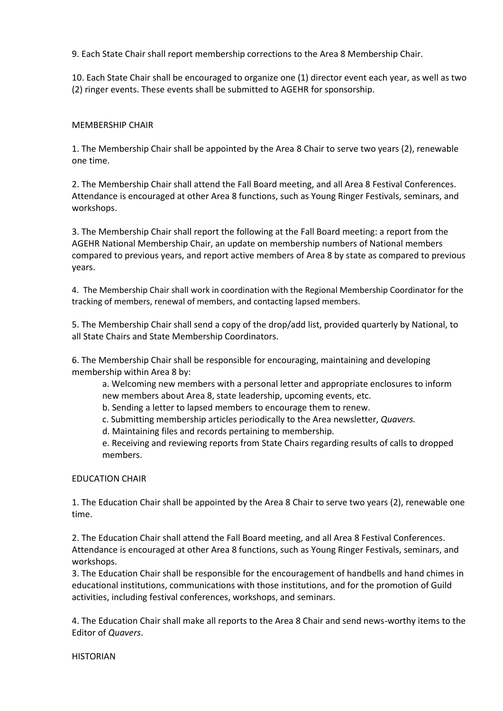9. Each State Chair shall report membership corrections to the Area 8 Membership Chair.

10. Each State Chair shall be encouraged to organize one (1) director event each year, as well as two (2) ringer events. These events shall be submitted to AGEHR for sponsorship.

# MEMBERSHIP CHAIR

1. The Membership Chair shall be appointed by the Area 8 Chair to serve two years (2), renewable one time.

2. The Membership Chair shall attend the Fall Board meeting, and all Area 8 Festival Conferences. Attendance is encouraged at other Area 8 functions, such as Young Ringer Festivals, seminars, and workshops.

3. The Membership Chair shall report the following at the Fall Board meeting: a report from the AGEHR National Membership Chair, an update on membership numbers of National members compared to previous years, and report active members of Area 8 by state as compared to previous years.

4. The Membership Chair shall work in coordination with the Regional Membership Coordinator for the tracking of members, renewal of members, and contacting lapsed members.

5. The Membership Chair shall send a copy of the drop/add list, provided quarterly by National, to all State Chairs and State Membership Coordinators.

6. The Membership Chair shall be responsible for encouraging, maintaining and developing membership within Area 8 by:

a. Welcoming new members with a personal letter and appropriate enclosures to inform new members about Area 8, state leadership, upcoming events, etc.

b. Sending a letter to lapsed members to encourage them to renew.

c. Submitting membership articles periodically to the Area newsletter, *Quavers.* 

d. Maintaining files and records pertaining to membership.

e. Receiving and reviewing reports from State Chairs regarding results of calls to dropped members.

# EDUCATION CHAIR

1. The Education Chair shall be appointed by the Area 8 Chair to serve two years (2), renewable one time.

2. The Education Chair shall attend the Fall Board meeting, and all Area 8 Festival Conferences. Attendance is encouraged at other Area 8 functions, such as Young Ringer Festivals, seminars, and workshops.

3. The Education Chair shall be responsible for the encouragement of handbells and hand chimes in educational institutions, communications with those institutions, and for the promotion of Guild activities, including festival conferences, workshops, and seminars.

4. The Education Chair shall make all reports to the Area 8 Chair and send news-worthy items to the Editor of *Quavers*.

**HISTORIAN**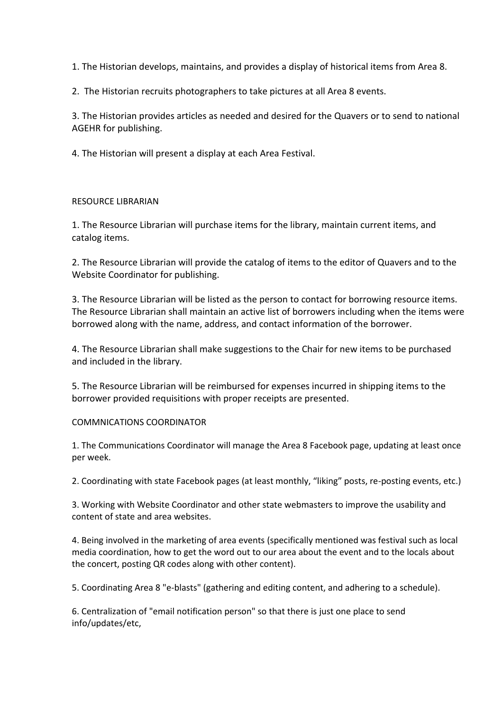1. The Historian develops, maintains, and provides a display of historical items from Area 8.

2. The Historian recruits photographers to take pictures at all Area 8 events.

3. The Historian provides articles as needed and desired for the Quavers or to send to national AGEHR for publishing.

4. The Historian will present a display at each Area Festival.

# RESOURCE LIBRARIAN

1. The Resource Librarian will purchase items for the library, maintain current items, and catalog items.

2. The Resource Librarian will provide the catalog of items to the editor of Quavers and to the Website Coordinator for publishing.

3. The Resource Librarian will be listed as the person to contact for borrowing resource items. The Resource Librarian shall maintain an active list of borrowers including when the items were borrowed along with the name, address, and contact information of the borrower.

4. The Resource Librarian shall make suggestions to the Chair for new items to be purchased and included in the library.

5. The Resource Librarian will be reimbursed for expenses incurred in shipping items to the borrower provided requisitions with proper receipts are presented.

# COMMNICATIONS COORDINATOR

1. The Communications Coordinator will manage the Area 8 Facebook page, updating at least once per week.

2. Coordinating with state Facebook pages (at least monthly, "liking" posts, re-posting events, etc.)

3. Working with Website Coordinator and other state webmasters to improve the usability and content of state and area websites.

4. Being involved in the marketing of area events (specifically mentioned was festival such as local media coordination, how to get the word out to our area about the event and to the locals about the concert, posting QR codes along with other content).

5. Coordinating Area 8 "e-blasts" (gathering and editing content, and adhering to a schedule).

6. Centralization of "email notification person" so that there is just one place to send info/updates/etc,